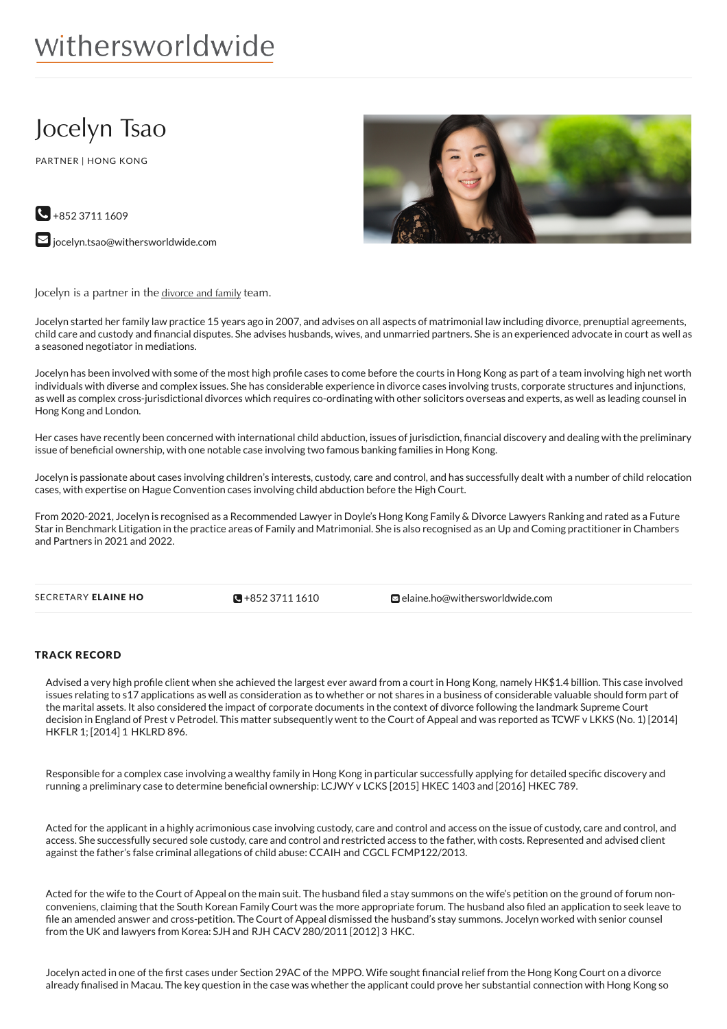# withersworldwide

## Jocelyn Tsao

PARTNER | HONG KONG



 $\bigodot$  +852 3711 1609  $\blacktriangleright$  [jocelyn.tsao@withersworldwide.com](mailto:jocelyn.tsao@withersworldwide.com?subject=Website Enquiry - Profile Page)

Jocelyn is a partner in the [divorce](https://www.withersworldwide.com/en-gb/divorce-and-family) and family team.

Jocelyn started her family law practice 15 years ago in 2007, and advises on all aspects of matrimonial law including divorce, prenuptial agreements, child care and custody and financial disputes. She advises husbands, wives, and unmarried partners. She is an experienced advocate in court as well as a seasoned negotiator in mediations.

Jocelyn has been involved with some of the most high profile cases to come before the courts in Hong Kong as part of a team involving high net worth individuals with diverse and complex issues. She has considerable experience in divorce cases involving trusts, corporate structures and injunctions, as well as complex cross-jurisdictional divorces which requires co-ordinating with other solicitors overseas and experts, as well as leading counsel in Hong Kong and London.

Her cases have recently been concerned with international child abduction, issues of jurisdiction, financial discovery and dealing with the preliminary issue of beneficial ownership, with one notable case involving two famous banking families in Hong Kong.

Jocelyn is passionate about cases involving children's interests, custody, care and control, and has successfully dealt with a number of child relocation cases, with expertise on Hague Convention cases involving child abduction before the High Court.

From 2020-2021, Jocelyn is recognised as a Recommended Lawyer in Doyle's Hong Kong Family & Divorce Lawyers Ranking and rated as a Future Star in Benchmark Litigation in the practice areas of Family and Matrimonial. She is also recognised as an Up and Coming practitioner in Chambers and Partners in 2021 and 2022.

 $R + 85237111610$ 

SECRETARY ELAINE HO **+852 3711 [1610](tel:+852 3711 1610)** [elaine.ho@withersworldwide.com](mailto:elaine.ho@withersworldwide.com)

#### TRACK RECORD

Advised a very high profile client when she achieved the largest ever award from a court in Hong Kong, namely HK\$1.4 billion. This case involved issues relating to s17 applications as well as consideration as to whether or not shares in a business of considerable valuable should form part of the marital assets. It also considered the impact of corporate documents in the context of divorce following the landmark Supreme Court decision in England of Prest v Petrodel. This matter subsequently went to the Court of Appeal and was reported as TCWF v LKKS (No. 1) [2014] HKFLR 1; [2014] 1 HKLRD 896.

Responsible for a complex case involving a wealthy family in Hong Kong in particular successfully applying for detailed specific discovery and running a preliminary case to determine beneficial ownership: LCJWY v LCKS [2015] HKEC 1403 and [2016] HKEC 789.

Acted for the applicant in a highly acrimonious case involving custody, care and control and access on the issue of custody, care and control, and access. She successfully secured sole custody, care and control and restricted access to the father, with costs. Represented and advised client against the father's false criminal allegations of child abuse: CCAIH and CGCL FCMP122/2013.

Acted for the wife to the Court of Appeal on the main suit. The husband filed a stay summons on the wife's petition on the ground of forum nonconveniens, claiming that the South Korean Family Court was the more appropriate forum. The husband also filed an application to seek leave to file an amended answer and cross-petition. The Court of Appeal dismissed the husband's stay summons. Jocelyn worked with senior counsel from the UK and lawyers from Korea: SJH and RJH CACV 280/2011 [2012] 3 HKC.

Jocelyn acted in one of the first cases under Section 29AC of the MPPO. Wife sought financial relief from the Hong Kong Court on a divorce already finalised in Macau. The key question in the case was whether the applicant could prove her substantial connection with Hong Kong so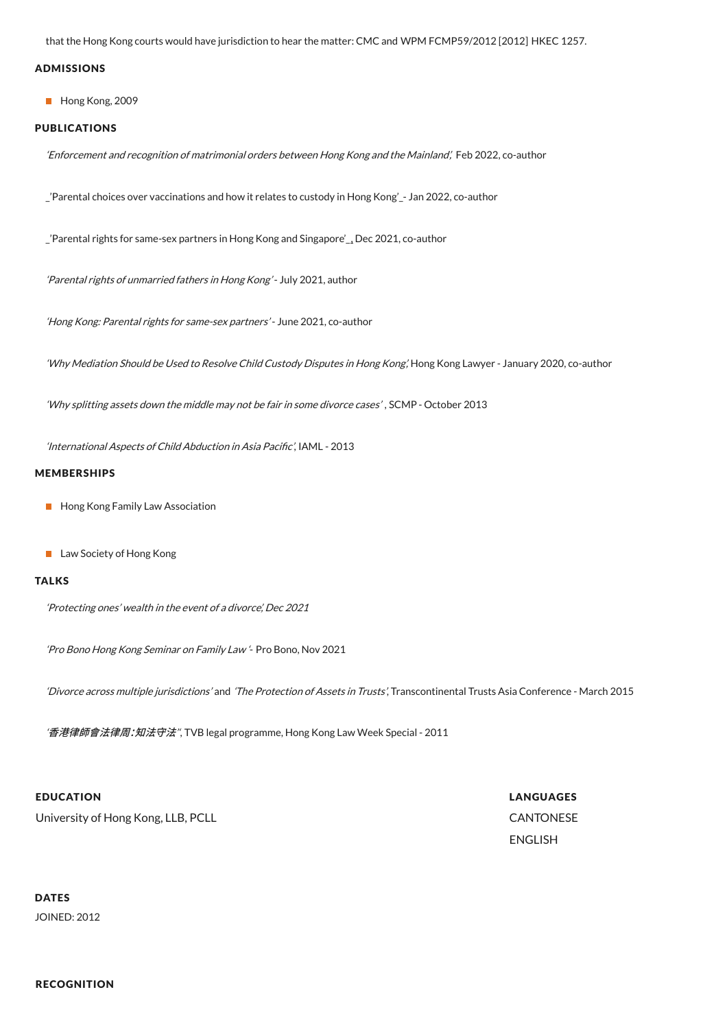that the Hong Kong courts would have jurisdiction to hear the matter: CMC and WPM FCMP59/2012 [2012] HKEC 1257.

#### ADMISSIONS

Hong Kong, 2009

#### PUBLICATIONS

'Enforcement and recognition of matrimonial orders between Hong Kong and the Mainland', Feb 2022, co-author

\_'Parental choices over vaccinations and how it relates to custody in Hong Kong'\_- Jan 2022, co-author

\_'Parental rights for same-sex partners in Hong Kong and Singapore'[\\_,](https://www.withersworldwide.com/en-gb/insight/parental-rights-for-same-sex-partners_1) Dec 2021, co-author

'Parental rights of unmarried fathers in Hong Kong'- July 2021, author

'Hong Kong: Parental rights for same-sex partners'- June 2021, co-author

'Why Mediation Should be Used to Resolve Child Custody Disputes in Hong Kong,' Hong Kong Lawyer - January 2020, co-author

'Why splitting assets down the middle may not be fair in some divorce cases' , SCMP - October 2013

'International Aspects of Child Abduction in Asia Pacific', IAML - 2013

#### MEMBERSHIPS

- **Hong Kong Family Law Association**
- **Law Society of Hong Kong**

#### **TALKS**

'Protecting ones' wealth in the event of <sup>a</sup> divorce', Dec 2021

'Pro Bono Hong Kong Seminar on Family Law '- Pro Bono, Nov 2021

'Divorce across multiple jurisdictions' and 'The Protection of Assets in Trusts', Transcontinental Trusts Asia Conference - March 2015

'香港律師會法律周:知法守法", TVB legal programme, Hong Kong Law Week Special - 2011

#### EDUCATION

University of Hong Kong, LLB, PCLL

LANGUAGES CANTONESE ENGLISH

### DATES

JOINED: 2012